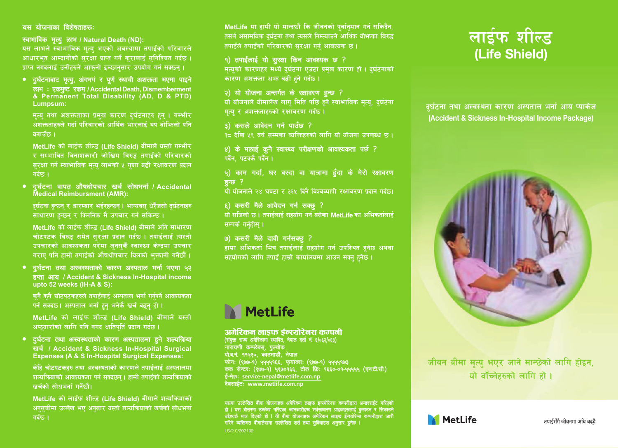### राम रोजनाका विजेषतारण्डः

स्वामाविक मृत्यु लाम / Natural Death (ND): यस लाभले स्वाभाविक मत्य भएको अवस्थामा तपाईको परिवारले आधारभत आम्दानीको सरक्षा प्राप्त गर्ने करालाई सनिश्चित गर्दछ। पाप्त नगढलाई उनीहरुले आफनो इच्छानसार उपयोग गर्न सक्छन ।

• दुर्घटनाबाट मृत्यु, अंगमगं र पूर्ण स्थायी अशक्तता भएमा पाइने रूल : एकमुष्ट एकम / Accidental Death, Dismemberment & Permanent Total Disability (AD, D & PTD) Lumpsum:

मत्य तथा अशक्तताका प्रमख कारण दर्घटनाहरु हुन । गम्भीर अंशक्तताहरूले गर्दा परिवारको आर्थिक भारलाई थप बोभिन्लो पनि बनाउँछ ।

MetLife को लाईफ शील्ड (Life Shield) बीमाले यस्तो गम्भीर र सम्भावित विनाशकारी जोखिम विरुद्ध तपाईको परिवारको सरक्षा गर्न स्वाभाविक मत्य लाभको ५ गणा बढी रक्षावरण प्रदान गर्दछ ।

• दुर्घटना यापत औषषोपचार खर्च सोवननौ / Accidental

दर्घटना हुन्छन र बारम्बार भईरहुन्छन । भाग्यवस धेरैजसो दर्घटनाहरु साधारण हुन्छन र क्लिनिक मै उपचार गर्न सकिन्छ ।

MetLife को लाईफ शील्ट (Life Shield) बीमाले अति साधारण चोटपटक विरुद्ध समेत सरक्षा प्रदान गर्दछ । तपाईलाई त्यस्तो .<br>उपचारको आवश्यकता परेमा जनसकै स्वास्थ्य केन्द्रमा उपचार गराए पनि हामी तपाइंको औषधोपचार बिलको भक्तानी गर्नेछौं।

#### • दुर्घटना तथा अस्वस्थताको कारण अस्पताल भर्ना भएना ५२

हत्वा आय / Accident & Sickness In-Hospital income upto 52 weeks (IH-A & S):

कनै कनै चोटपटकहरुले तपाईलाई अस्पताल भर्ना गर्नपर्ने आवश्यकता पर्न सक्दछ। अस्पताल भर्ना हुन भनेकै खर्च बढन हो।

MetLife को लाईफ शील्ड (Life Shield) बीमाले यस्तो अफयारोको लागि पनि नगढ क्षतिपतिं प्रदान गर्दछ ।

#### • दुर्घटना तथा अस्वस्थताको कारण अस्पतालमा हुने शल्यक्रिया

खर्च / Accident & Sickness In-Hospital Surgical<br>Expenses (A & S In-Hospital Surgical Expenses:

केहि चोटपटकहरु तथा अस्वस्थताको कारणले तपाईलाई अस्पतालमा शल्यक्रियाको आवश्यकता पर्न सक्दछ्न। हामी तपाईको शल्यक्रियाको खर्चको सोधभर्ना गर्नेछौ।

MetLife को लाईफ शील्ड (Life Shield) बीमाले शल्यक्रियाको अनसचीमा उल्लेख भए अनसार यस्तो शत्यक्रियाको खर्चको सोधभर्ना

MetLife मा हामी यो मान्दछौं कि जीवनको पर्वानमान गर्न सकिदैन तसर्थ असामयिक दर्घटना तथा त्यसले निम्त्याउने आर्थिक बोभनका विरुद्ध तपारंले तपारंको परिवारको सरक्षा गर्न आवश्यक छ ।

### १) तपाईलाई यो सुरखा किन आवश्यक छ ?

्<br><u>मृत्यको कारणह</u>रु मध्ये दुर्घटना एउटा प्रमुख कारण हो । दुर्घटनाको | कारण अशक्तता अभ्र बढी हते गर्दछ ।

#### २) यो योजना अन्तर्गत के स्थावरण इन्छ ?

यो योजनाले बीमालेख लाग मिति पछि हुने स्वाभाविक मत्य, दर्घटना मत्य र अशक्तताहरुको रक्षाबरण गर्दछ।

#### 3) कसले आवेदन गर्न पाउँछ ?

्र<br>१८ टेखि ५९ वर्ष सम्मका व्यक्तिहरुको लागि यो योजना उपलब्ध छ ।

# 8) के मलाई कुनै स्वास्थ्य परीक्षणको आवश्यकता पर्छ ?<br>| पर्दैन, पटक्कै पर्दैन ।

#### ५) काम गर्दा, घर बस्दा वा यात्रामा हुँदा के मेरो रक्षावरण **Big 3**

्ष्<br>यो योजनाले २४ घण्टा र ३६५ दिनै विश्वव्यापी रक्षावरण प्रदान गर्दछ।

#### ६) कसरी मैले आवेदन गर्न सकह ?

यो सजिलो छ। तपाईलाई सहयोग गर्न बसेका MetLife का अभिकर्तालाई सम्पर्क गर्नहोस ।

### $\omega$ ) कसरी मैले दावी गर्नसकह ?

हाम्रा अभिकर्ता मित्र तपाईलाई सहयोग गर्न उपस्थित हनेछ अथवा सहयोगको लागि तपाइँ हाम्रो कार्यालयमा आउन सक्न हुनेछ ।

# **MetLife**

## अमेरिकन लाइफ ईन्स्योरेनस कम्पनी<br>(<del>ब्रुट एन क्षेरिजन साफि, नेका</del> वर्त्त नं ६/०६२/०६३)

(१८७-१) ५५५५१६६, कृताक्स: (१८७-१) ५५५५१८३<br>केन्टर: (१८७-१) ५९७०१६६, टोक क्रि: १६६०-०१-५५५५५ (क्नटी.सी.)<br>: service-nepal@metlife.com.np

te: www.metlife.com.np



टर्घटना तथा अस्वस्थता कारण अस्पताल भर्ता आग्र प्याकेज (Accident & Sickness In-Hospital Income Package)



जीवन बीमा मत्य भएर जाने मान्छेको लागि होइन. यो बाँच्नेहरुको लागि हो ।